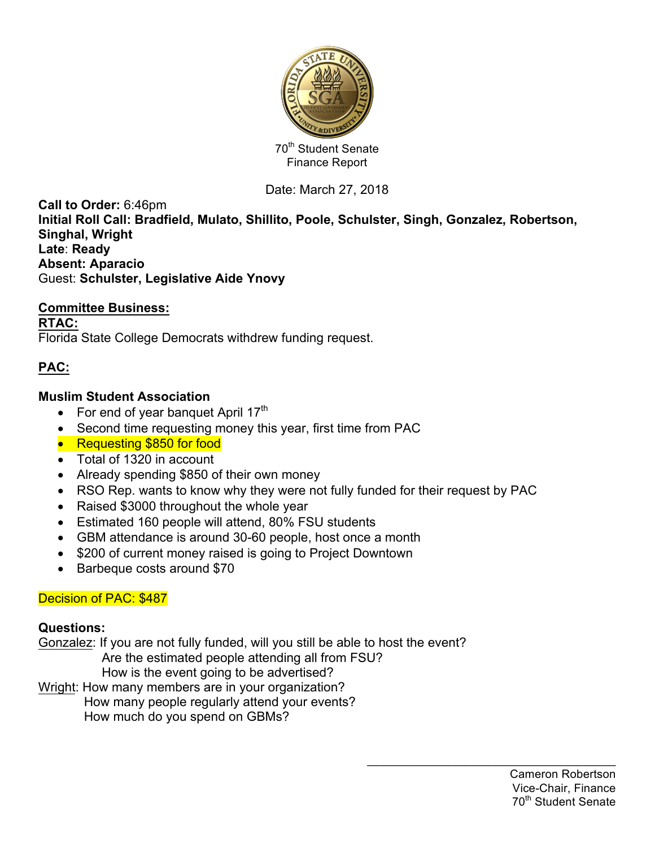

# Date: March 27, 2018

**Call to Order:** 6:46pm **Initial Roll Call: Bradfield, Mulato, Shillito, Poole, Schulster, Singh, Gonzalez, Robertson, Singhal, Wright Late**: **Ready Absent: Aparacio** Guest: **Schulster, Legislative Aide Ynovy**

#### **Committee Business:**

**RTAC:** Florida State College Democrats withdrew funding request.

# **PAC:**

#### **Muslim Student Association**

- For end of year banquet April  $17<sup>th</sup>$
- Second time requesting money this year, first time from PAC
- Requesting \$850 for food
- Total of 1320 in account
- Already spending \$850 of their own money
- RSO Rep. wants to know why they were not fully funded for their request by PAC
- Raised \$3000 throughout the whole year
- Estimated 160 people will attend, 80% FSU students
- GBM attendance is around 30-60 people, host once a month
- \$200 of current money raised is going to Project Downtown
- Barbeque costs around \$70

## Decision of PAC: \$487

#### **Questions:**

Gonzalez: If you are not fully funded, will you still be able to host the event? Are the estimated people attending all from FSU?

How is the event going to be advertised?

Wright: How many members are in your organization?

 How many people regularly attend your events? How much do you spend on GBMs?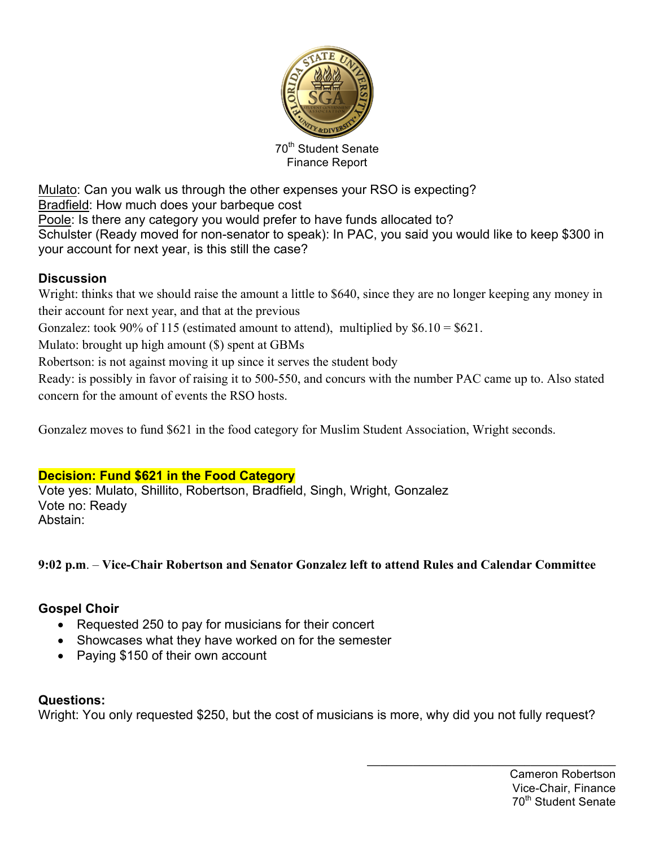

Mulato: Can you walk us through the other expenses your RSO is expecting? Bradfield: How much does your barbeque cost Poole: Is there any category you would prefer to have funds allocated to? Schulster (Ready moved for non-senator to speak): In PAC, you said you would like to keep \$300 in your account for next year, is this still the case?

## **Discussion**

Wright: thinks that we should raise the amount a little to \$640, since they are no longer keeping any money in their account for next year, and that at the previous Gonzalez: took 90% of 115 (estimated amount to attend), multiplied by  $$6.10 = $621$ .

Mulato: brought up high amount (\$) spent at GBMs

Robertson: is not against moving it up since it serves the student body

Ready: is possibly in favor of raising it to 500-550, and concurs with the number PAC came up to. Also stated concern for the amount of events the RSO hosts.

Gonzalez moves to fund \$621 in the food category for Muslim Student Association, Wright seconds.

## **Decision: Fund \$621 in the Food Category**

Vote yes: Mulato, Shillito, Robertson, Bradfield, Singh, Wright, Gonzalez Vote no: Ready Abstain:

## **9:02 p.m**. – **Vice-Chair Robertson and Senator Gonzalez left to attend Rules and Calendar Committee**

## **Gospel Choir**

- Requested 250 to pay for musicians for their concert
- Showcases what they have worked on for the semester
- Paying \$150 of their own account

## **Questions:**

Wright: You only requested \$250, but the cost of musicians is more, why did you not fully request?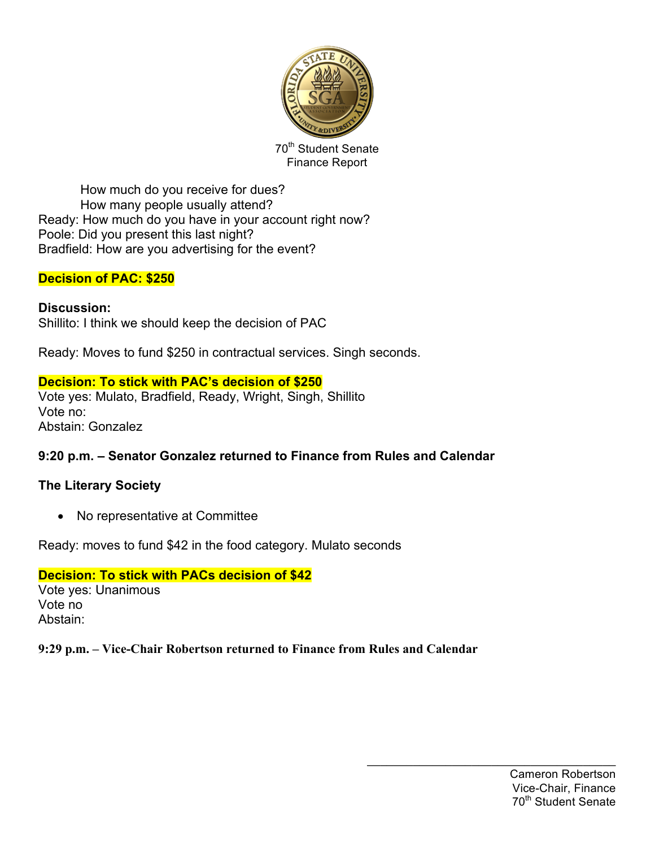

How much do you receive for dues? How many people usually attend? Ready: How much do you have in your account right now? Poole: Did you present this last night? Bradfield: How are you advertising for the event?

## **Decision of PAC: \$250**

#### **Discussion:** Shillito: I think we should keep the decision of PAC

Ready: Moves to fund \$250 in contractual services. Singh seconds.

## **Decision: To stick with PAC's decision of \$250**

Vote yes: Mulato, Bradfield, Ready, Wright, Singh, Shillito Vote no: Abstain: Gonzalez

## **9:20 p.m. – Senator Gonzalez returned to Finance from Rules and Calendar**

## **The Literary Society**

• No representative at Committee

Ready: moves to fund \$42 in the food category. Mulato seconds

## **Decision: To stick with PACs decision of \$42**

Vote yes: Unanimous Vote no Abstain:

## **9:29 p.m. – Vice-Chair Robertson returned to Finance from Rules and Calendar**